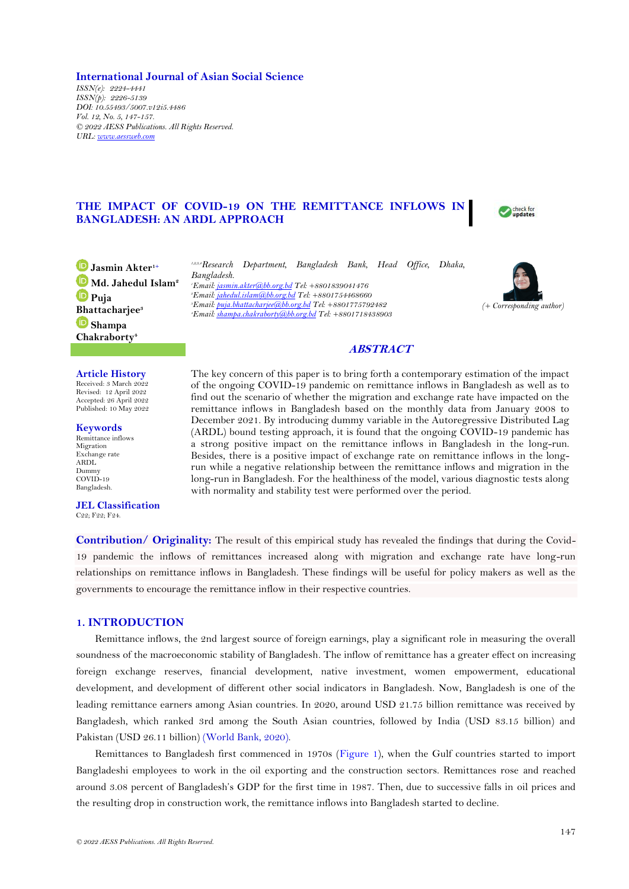**International Journal of Asian Social Science** *ISSN(e): 2224-4441 ISSN(p): 2226-5139 DOI: 10.55493/5007.v12i5.4486 Vol. 12, No. 5, 147-157. © 2022 AESS Publications. All Rights Reserved. URL[: www.aessweb.com](http://www.aessweb.com/)*

# **THE IMPACT OF COVID-19 ON THE REMITTANCE INFLOWS IN BANGLADESH: AN ARDL APPROACH**



**Jasmin Akter1+ Md. Jahedul Islam<sup>2</sup> Puja [Bha](https://orcid.org/0000-0003-4999-9989)ttacharjee<sup>3</sup> Shampa Chakraborty<sup>4</sup>**

### **Article History**

Received: 3 March 2022 Revised: 12 April 2022 Accepted: 26 April 2022 Published: 10 May 2022

**Keywords** Remittance inflows Migration Exchange rate ARDL Dummy COVID-19

Bangladesh.

**JEL Classification** C22; F22; F24.

*1,2,3,4Research Department, Bangladesh Bank, Head Office, Dhaka, Bangladesh. Email[: jasmin.akter@bb.org.bd](mailto:jasmin.akter@bb.org.bd) Tel: +8801839041476 Email[: jahedul.islam@bb.org.bd](mailto:jahedul.islam@bb.org.bd) Tel: +8801754468660 Email[: puja.bhattacharjee@bb.org.bd](mailto:puja.bhattacharjee@bb.org.bd) Tel: +8801775792482 Email[: shampa.chakraborty@bb.org.bd](mailto:shampa.chakraborty@bb.org.bd) Tel: +8801718438903*



## **ABSTRACT**

The key concern of this paper is to bring forth a contemporary estimation of the impact of the ongoing COVID-19 pandemic on remittance inflows in Bangladesh as well as to find out the scenario of whether the migration and exchange rate have impacted on the remittance inflows in Bangladesh based on the monthly data from January 2008 to December 2021. By introducing dummy variable in the Autoregressive Distributed Lag (ARDL) bound testing approach, it is found that the ongoing COVID-19 pandemic has a strong positive impact on the remittance inflows in Bangladesh in the long-run. Besides, there is a positive impact of exchange rate on remittance inflows in the longrun while a negative relationship between the remittance inflows and migration in the long-run in Bangladesh. For the healthiness of the model, various diagnostic tests along with normality and stability test were performed over the period.

**Contribution/ Originality:** The result of this empirical study has revealed the findings that during the Covid-19 pandemic the inflows of remittances increased along with migration and exchange rate have long-run relationships on remittance inflows in Bangladesh. These findings will be useful for policy makers as well as the governments to encourage the remittance inflow in their respective countries.

## **1. INTRODUCTION**

Remittance inflows, the 2nd largest source of foreign earnings, play a significant role in measuring the overall soundness of the macroeconomic stability of Bangladesh. The inflow of remittance has a greater effect on increasing foreign exchange reserves, financial development, native investment, women empowerment, educational development, and development of different other social indicators in Bangladesh. Now, Bangladesh is one of the leading remittance earners among Asian countries. In 2020, around USD 21.75 billion remittance was received by Bangladesh, which ranked 3rd among the South Asian countries, followed by India (USD 83.15 billion) and Pakistan (USD 26.11 billion) [\(World Bank, 2020\)](#page-9-0).

Remittances to Bangladesh first commenced in 1970s [\(Figure 1\)](#page-1-0), when the Gulf countries started to import Bangladeshi employees to work in the oil exporting and the construction sectors. Remittances rose and reached around 3.08 percent of Bangladesh's GDP for the first time in 1987. Then, due to successive falls in oil prices and the resulting drop in construction work, the remittance inflows into Bangladesh started to decline.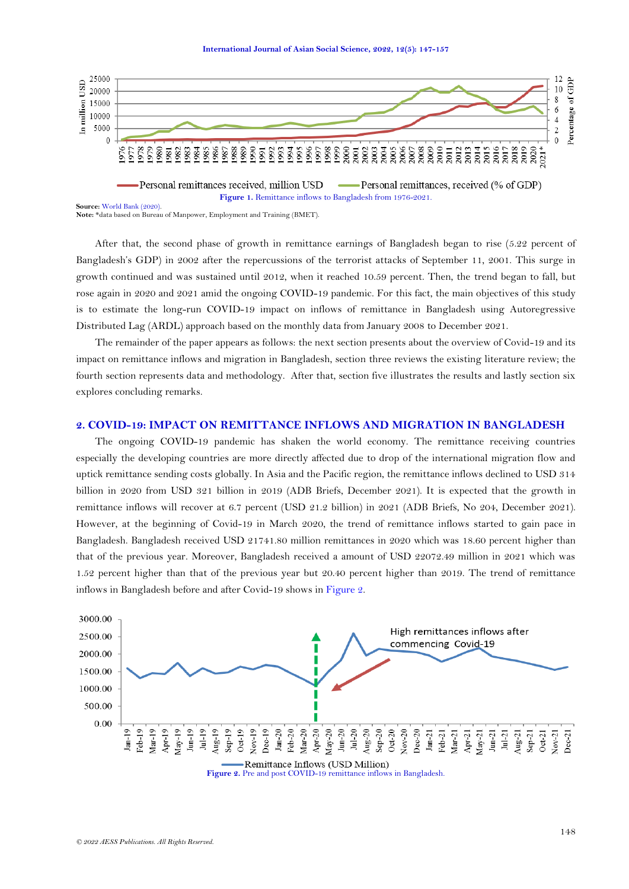

<span id="page-1-0"></span>**Note:** \*data based on Bureau of Manpower, Employment and Training (BMET).

After that, the second phase of growth in remittance earnings of Bangladesh began to rise (5.22 percent of Bangladesh's GDP) in 2002 after the repercussions of the terrorist attacks of September 11, 2001. This surge in growth continued and was sustained until 2012, when it reached 10.59 percent. Then, the trend began to fall, but rose again in 2020 and 2021 amid the ongoing COVID-19 pandemic. For this fact, the main objectives of this study is to estimate the long-run COVID-19 impact on inflows of remittance in Bangladesh using Autoregressive Distributed Lag (ARDL) approach based on the monthly data from January 2008 to December 2021.

The remainder of the paper appears as follows: the next section presents about the overview of Covid-19 and its impact on remittance inflows and migration in Bangladesh, section three reviews the existing literature review; the fourth section represents data and methodology. After that, section five illustrates the results and lastly section six explores concluding remarks.

# **2. COVID-19: IMPACT ON REMITTANCE INFLOWS AND MIGRATION IN BANGLADESH**

The ongoing COVID-19 pandemic has shaken the world economy. The remittance receiving countries especially the developing countries are more directly affected due to drop of the international migration flow and uptick remittance sending costs globally. In Asia and the Pacific region, the remittance inflows declined to USD 314 billion in 2020 from USD 321 billion in 2019 (ADB Briefs, December 2021). It is expected that the growth in remittance inflows will recover at 6.7 percent (USD 21.2 billion) in 2021 (ADB Briefs, No 204, December 2021). However, at the beginning of Covid-19 in March 2020, the trend of remittance inflows started to gain pace in Bangladesh. Bangladesh received USD 21741.80 million remittances in 2020 which was 18.60 percent higher than that of the previous year. Moreover, Bangladesh received a amount of USD 22072.49 million in 2021 which was 1.52 percent higher than that of the previous year but 20.40 percent higher than 2019. The trend of remittance inflows in Bangladesh before and after Covid-19 shows i[n Figure 2.](#page-1-1)

<span id="page-1-1"></span>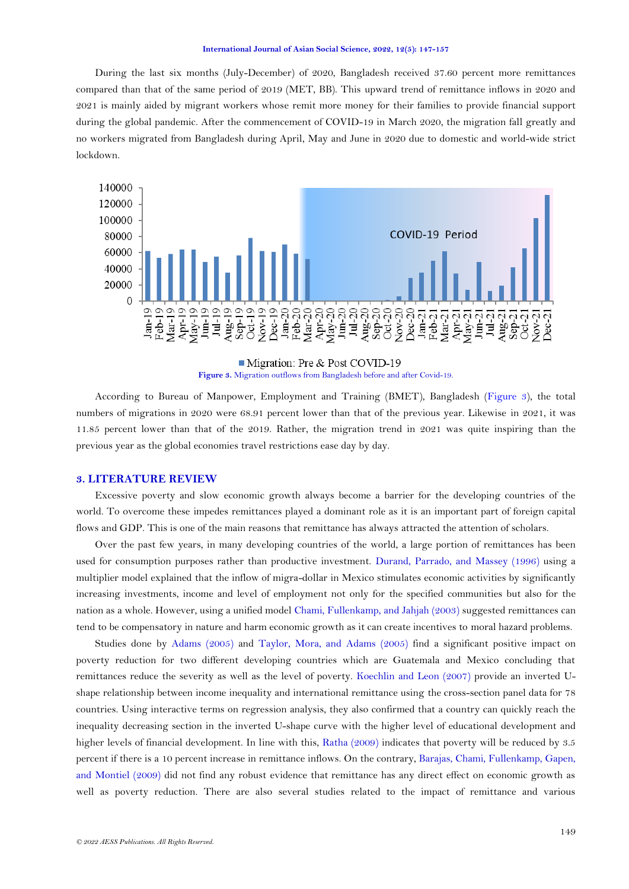During the last six months (July-December) of 2020, Bangladesh received 37.60 percent more remittances compared than that of the same period of 2019 (MET, BB). This upward trend of remittance inflows in 2020 and 2021 is mainly aided by migrant workers whose remit more money for their families to provide financial support during the global pandemic. After the commencement of COVID-19 in March 2020, the migration fall greatly and no workers migrated from Bangladesh during April, May and June in 2020 due to domestic and world-wide strict lockdown.



Migration: Pre & Post COVID-19 **Figure 3.** Migration outflows from Bangladesh before and after Covid-19.

<span id="page-2-0"></span>According to Bureau of Manpower, Employment and Training (BMET), Bangladesh [\(Figure 3\)](#page-2-0), the total numbers of migrations in 2020 were 68.91 percent lower than that of the previous year. Likewise in 2021, it was 11.85 percent lower than that of the 2019. Rather, the migration trend in 2021 was quite inspiring than the previous year as the global economies travel restrictions ease day by day.

## **3. LITERATURE REVIEW**

Excessive poverty and slow economic growth always become a barrier for the developing countries of the world. To overcome these impedes remittances played a dominant role as it is an important part of foreign capital flows and GDP. This is one of the main reasons that remittance has always attracted the attention of scholars.

Over the past few years, in many developing countries of the world, a large portion of remittances has been used for consumption purposes rather than productive investment. [Durand, Parrado, and Massey \(1996\)](#page-8-0) using a multiplier model explained that the inflow of migra-dollar in Mexico stimulates economic activities by significantly increasing investments, income and level of employment not only for the specified communities but also for the nation as a whole. However, using a unified mode[l Chami, Fullenkamp, and Jahjah \(2003\)](#page-8-1) suggested remittances can tend to be compensatory in nature and harm economic growth as it can create incentives to moral hazard problems.

Studies done by [Adams \(2005\)](#page-8-2) and [Taylor, Mora, and Adams \(2005\)](#page-9-1) find a significant positive impact on poverty reduction for two different developing countries which are Guatemala and Mexico concluding that remittances reduce the severity as well as the level of poverty. [Koechlin and Leon \(2007\)](#page-9-2) provide an inverted Ushape relationship between income inequality and international remittance using the cross-section panel data for 78 countries. Using interactive terms on regression analysis, they also confirmed that a country can quickly reach the inequality decreasing section in the inverted U-shape curve with the higher level of educational development and higher levels of financial development. In line with this, [Ratha \(2009\)](#page-9-3) indicates that poverty will be reduced by 3.5 percent if there is a 10 percent increase in remittance inflows. On the contrary, [Barajas, Chami, Fullenkamp, Gapen,](#page-8-3)  [and Montiel \(2009\)](#page-8-3) did not find any robust evidence that remittance has any direct effect on economic growth as well as poverty reduction. There are also several studies related to the impact of remittance and various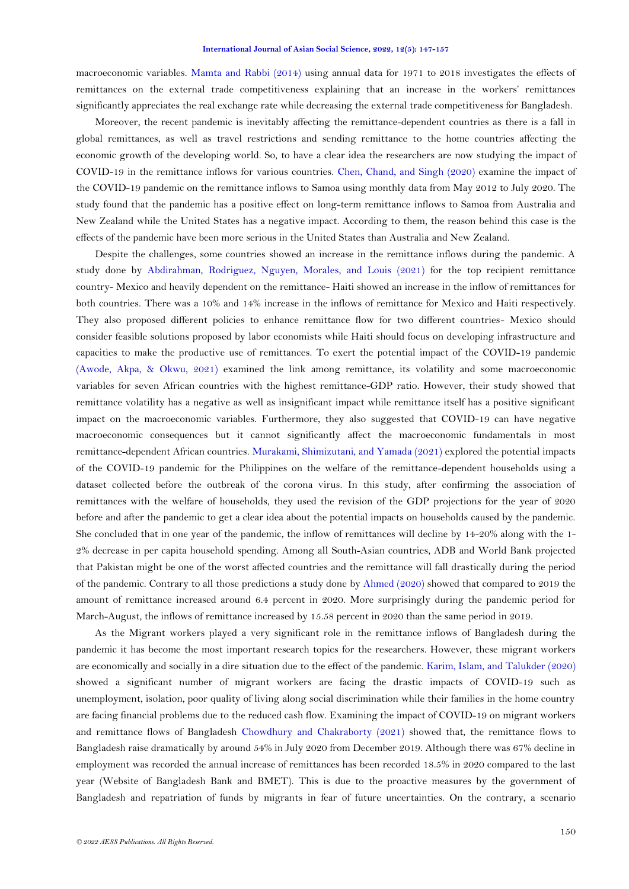macroeconomic variables. [Mamta and Rabbi \(2014\)](#page-9-4) using annual data for 1971 to 2018 investigates the effects of remittances on the external trade competitiveness explaining that an increase in the workers' remittances significantly appreciates the real exchange rate while decreasing the external trade competitiveness for Bangladesh.

Moreover, the recent pandemic is inevitably affecting the remittance-dependent countries as there is a fall in global remittances, as well as travel restrictions and sending remittance to the home countries affecting the economic growth of the developing world. So, to have a clear idea the researchers are now studying the impact of COVID-19 in the remittance inflows for various countries. [Chen, Chand, and Singh \(2020\)](#page-8-4) examine the impact of the COVID-19 pandemic on the remittance inflows to Samoa using monthly data from May 2012 to July 2020. The study found that the pandemic has a positive effect on long-term remittance inflows to Samoa from Australia and New Zealand while the United States has a negative impact. According to them, the reason behind this case is the effects of the pandemic have been more serious in the United States than Australia and New Zealand.

Despite the challenges, some countries showed an increase in the remittance inflows during the pandemic. A study done by [Abdirahman, Rodriguez, Nguyen, Morales, and Louis \(2021\)](#page-8-5) for the top recipient remittance country- Mexico and heavily dependent on the remittance- Haiti showed an increase in the inflow of remittances for both countries. There was a 10% and 14% increase in the inflows of remittance for Mexico and Haiti respectively. They also proposed different policies to enhance remittance flow for two different countries- Mexico should consider feasible solutions proposed by labor economists while Haiti should focus on developing infrastructure and capacities to make the productive use of remittances. To exert the potential impact of the COVID-19 pandemic [\(Awode, Akpa, & Okwu, 2021\)](#page-8-6) examined the link among remittance, its volatility and some macroeconomic variables for seven African countries with the highest remittance-GDP ratio. However, their study showed that remittance volatility has a negative as well as insignificant impact while remittance itself has a positive significant impact on the macroeconomic variables. Furthermore, they also suggested that COVID-19 can have negative macroeconomic consequences but it cannot significantly affect the macroeconomic fundamentals in most remittance-dependent African countries. [Murakami, Shimizutani, and Yamada \(2021\)](#page-9-5) explored the potential impacts of the COVID-19 pandemic for the Philippines on the welfare of the remittance-dependent households using a dataset collected before the outbreak of the corona virus. In this study, after confirming the association of remittances with the welfare of households, they used the revision of the GDP projections for the year of 2020 before and after the pandemic to get a clear idea about the potential impacts on households caused by the pandemic. She concluded that in one year of the pandemic, the inflow of remittances will decline by 14-20% along with the 1- 2% decrease in per capita household spending. Among all South-Asian countries, ADB and World Bank projected that Pakistan might be one of the worst affected countries and the remittance will fall drastically during the period of the pandemic. Contrary to all those predictions a study done b[y Ahmed \(2020\)](#page-8-7) showed that compared to 2019 the amount of remittance increased around 6.4 percent in 2020. More surprisingly during the pandemic period for March-August, the inflows of remittance increased by 15.58 percent in 2020 than the same period in 2019.

As the Migrant workers played a very significant role in the remittance inflows of Bangladesh during the pandemic it has become the most important research topics for the researchers. However, these migrant workers are economically and socially in a dire situation due to the effect of the pandemic[. Karim, Islam, and Talukder \(2020\)](#page-9-6) showed a significant number of migrant workers are facing the drastic impacts of COVID-19 such as unemployment, isolation, poor quality of living along social discrimination while their families in the home country are facing financial problems due to the reduced cash flow. Examining the impact of COVID-19 on migrant workers and remittance flows of Bangladesh [Chowdhury and Chakraborty \(2021\)](#page-8-8) showed that, the remittance flows to Bangladesh raise dramatically by around 54% in July 2020 from December 2019. Although there was 67% decline in employment was recorded the annual increase of remittances has been recorded 18.5% in 2020 compared to the last year (Website of Bangladesh Bank and BMET). This is due to the proactive measures by the government of Bangladesh and repatriation of funds by migrants in fear of future uncertainties. On the contrary, a scenario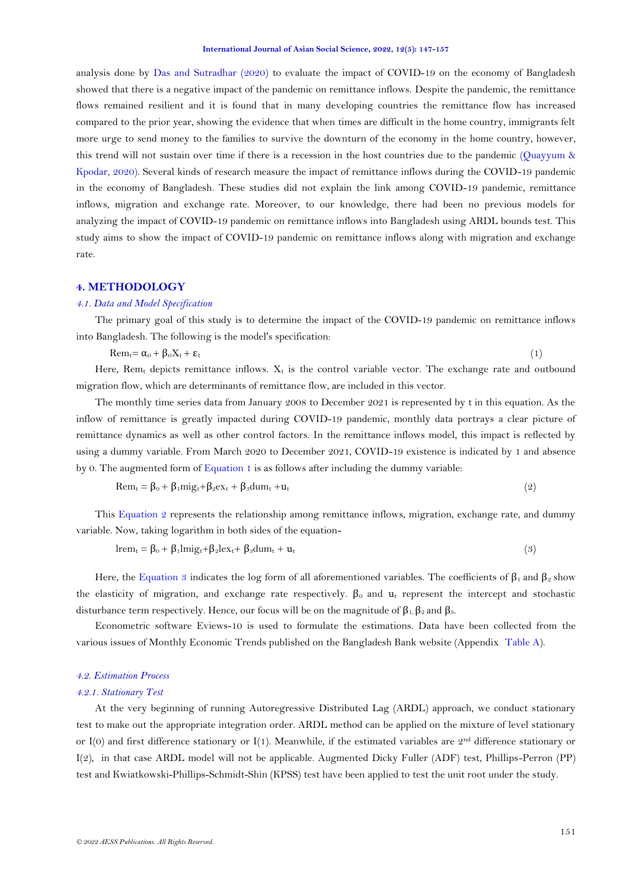analysis done by [Das and Sutradhar \(2020\)](#page-8-9) to evaluate the impact of COVID-19 on the economy of Bangladesh showed that there is a negative impact of the pandemic on remittance inflows. Despite the pandemic, the remittance flows remained resilient and it is found that in many developing countries the remittance flow has increased compared to the prior year, showing the evidence that when times are difficult in the home country, immigrants felt more urge to send money to the families to survive the downturn of the economy in the home country, however, this trend will not sustain over time if there is a recession in the host countries due to the pandemic [\(Quayyum &](#page-9-7)  [Kpodar, 2020\)](#page-9-7). Several kinds of research measure the impact of remittance inflows during the COVID-19 pandemic in the economy of Bangladesh. These studies did not explain the link among COVID-19 pandemic, remittance inflows, migration and exchange rate. Moreover, to our knowledge, there had been no previous models for analyzing the impact of COVID-19 pandemic on remittance inflows into Bangladesh using ARDL bounds test. This study aims to show the impact of COVID-19 pandemic on remittance inflows along with migration and exchange rate.

# **4. METHODOLOGY**

### *4.1. Data and Model Specification*

The primary goal of this study is to determine the impact of the COVID-19 pandemic on remittance inflows into Bangladesh. The following is the model's specification:

<span id="page-4-0"></span> $\text{Rem}_{t} = \alpha_0 + \beta_0 X_t + \varepsilon_t$  (1)

Here,  $Rem_t$  depicts remittance inflows.  $X_t$  is the control variable vector. The exchange rate and outbound migration flow, which are determinants of remittance flow, are included in this vector.

The monthly time series data from January 2008 to December 2021 is represented by t in this equation. As the inflow of remittance is greatly impacted during COVID-19 pandemic, monthly data portrays a clear picture of remittance dynamics as well as other control factors. In the remittance inflows model, this impact is reflected by using a dummy variable. From March 2020 to December 2021, COVID-19 existence is indicated by 1 and absence by 0. The augmented form of [Equation 1](#page-4-0) is as follows after including the dummy variable:

<span id="page-4-1"></span>
$$
\text{Rem}_{t} = \beta_0 + \beta_1 m i g_t + \beta_2 \text{ex}_t + \beta_3 \text{dum}_t + u_t \tag{2}
$$

This [Equation 2](#page-4-1) represents the relationship among remittance inflows, migration, exchange rate, and dummy variable. Now, taking logarithm in both sides of the equation-

<span id="page-4-2"></span>
$$
lrem_t = \beta_0 + \beta_1 lmig_t + \beta_2 lex_t + \beta_3 dum_t + u_t
$$
\n(3)

Here, the [Equation 3](#page-4-2) indicates the log form of all aforementioned variables. The coefficients of  $\beta_1$  and  $\beta_2$  show the elasticity of migration, and exchange rate respectively.  $\beta_0$  and  $u_t$  represent the intercept and stochastic disturbance term respectively. Hence, our focus will be on the magnitude of  $\beta_1$ ,  $\beta_2$  and  $\beta_3$ .

Econometric software Eviews-10 is used to formulate the estimations. Data have been collected from the various issues of Monthly Economic Trends published on the Bangladesh Bank website (Appendix [Table A\)](#page-9-8).

# *4.2. Estimation Process*

### *4.2.1. Stationary Test*

At the very beginning of running Autoregressive Distributed Lag (ARDL) approach, we conduct stationary test to make out the appropriate integration order. ARDL method can be applied on the mixture of level stationary or I(0) and first difference stationary or I(1). Meanwhile, if the estimated variables are  $2<sup>nd</sup>$  difference stationary or I(2), in that case ARDL model will not be applicable. Augmented Dicky Fuller (ADF) test, Phillips-Perron (PP) test and Kwiatkowski-Phillips-Schmidt-Shin (KPSS) test have been applied to test the unit root under the study.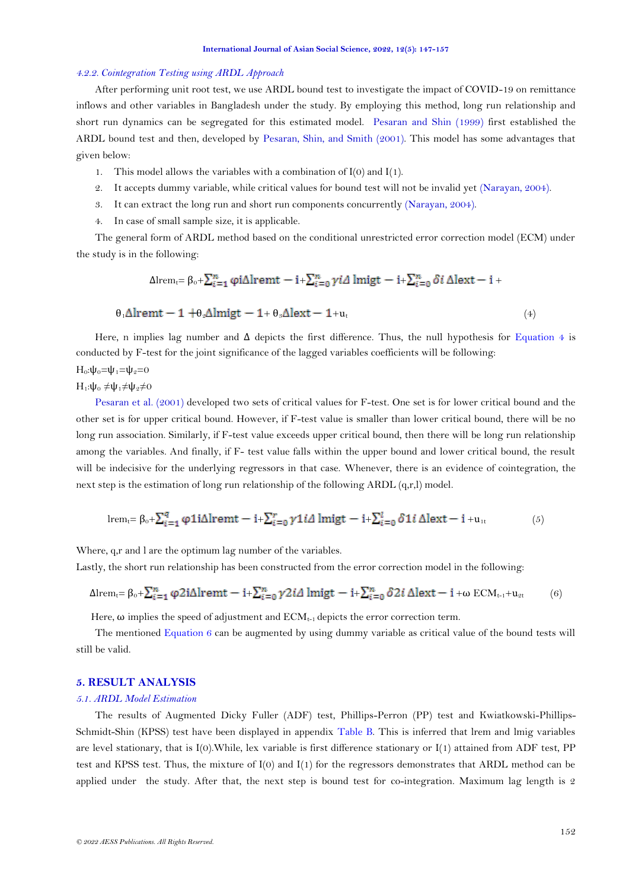### *4.2.2. Cointegration Testing using ARDL Approach*

After performing unit root test, we use ARDL bound test to investigate the impact of COVID-19 on remittance inflows and other variables in Bangladesh under the study. By employing this method, long run relationship and short run dynamics can be segregated for this estimated model. [Pesaran and Shin \(1999\)](#page-9-9) first established the ARDL bound test and then, developed by [Pesaran, Shin, and Smith \(2001\)](#page-9-10). This model has some advantages that given below:

- 1. This model allows the variables with a combination of  $I(0)$  and  $I(1)$ .
- 2. It accepts dummy variable, while critical values for bound test will not be invalid yet [\(Narayan, 2004\)](#page-9-11).
- 3. It can extract the long run and short run components concurrently [\(Narayan, 2004\)](#page-9-11).
- 4. In case of small sample size, it is applicable.

The general form of ARDL method based on the conditional unrestricted error correction model (ECM) under the study is in the following:

<span id="page-5-0"></span>
$$
\Delta l_{\text{rem}t} = \beta_0 + \sum_{i=1}^n \varphi_i \Delta l_{\text{rem}t} - i_+ \sum_{i=0}^n \gamma_i \Delta l_{\text{m}t} - i_+ \sum_{i=0}^n \delta_i \Delta l_{\text{ext}} - i_+
$$

$$
\theta_1 \Delta l \mathbf{remt} - 1 + \theta_2 \Delta l \mathbf{migt} - 1 + \theta_3 \Delta l \mathbf{ext} - 1 + u_t \tag{4}
$$

Here, n implies lag number and  $\Delta$  depicts the first difference. Thus, the null hypothesis for [Equation 4](#page-5-0) is conducted by F-test for the joint significance of the lagged variables coefficients will be following:

 $H_0: \psi_0 = \psi_1 = \psi_2 = 0$ 

# $H_1$ :ψ<sub>0</sub> ≠ψ<sub>1</sub>≠ψ<sub>2</sub>≠0

[Pesaran et al. \(2001\)](#page-9-10) developed two sets of critical values for F-test. One set is for lower critical bound and the other set is for upper critical bound. However, if F-test value is smaller than lower critical bound, there will be no long run association. Similarly, if F-test value exceeds upper critical bound, then there will be long run relationship among the variables. And finally, if F- test value falls within the upper bound and lower critical bound, the result will be indecisive for the underlying regressors in that case. Whenever, there is an evidence of cointegration, the next step is the estimation of long run relationship of the following ARDL (q,r,l) model.

$$
\text{lrem}_{t} = \beta_{0} + \sum_{i=1}^{q} \varphi 1i\Delta \text{lremt} - i + \sum_{i=0}^{r} \gamma 1i\Delta \text{lmigt} - i + \sum_{i=0}^{l} \delta 1i\Delta \text{lext} - i + u_{1t} \tag{5}
$$

Where, q,r and l are the optimum lag number of the variables.

Lastly, the short run relationship has been constructed from the error correction model in the following:

$$
\Delta l_{\text{remt}} = \beta_0 + \sum_{i=1}^n \varphi 2i\Delta l_{\text{remt}} - i + \sum_{i=0}^n \gamma 2i\Delta l_{\text{migt}} - i + \sum_{i=0}^n \delta 2i \Delta l_{\text{ext}} - i + \omega \text{ECM}_{t-1} + u_{2t}
$$
(6)

<span id="page-5-1"></span>Here,  $\omega$  implies the speed of adjustment and  $ECM_{t-1}$  depicts the error correction term.

The mentioned [Equation 6](#page-5-1) can be augmented by using dummy variable as critical value of the bound tests will still be valid.

## **5. RESULT ANALYSIS**

### *5.1. ARDL Model Estimation*

The results of Augmented Dicky Fuller (ADF) test, Phillips-Perron (PP) test and Kwiatkowski-Phillips-Schmidt-Shin (KPSS) test have been displayed in appendix [Table B.](#page-9-12) This is inferred that lrem and lmig variables are level stationary, that is I(0).While, lex variable is first difference stationary or I(1) attained from ADF test, PP test and KPSS test. Thus, the mixture of I(0) and I(1) for the regressors demonstrates that ARDL method can be applied under the study. After that, the next step is bound test for co-integration. Maximum lag length is 2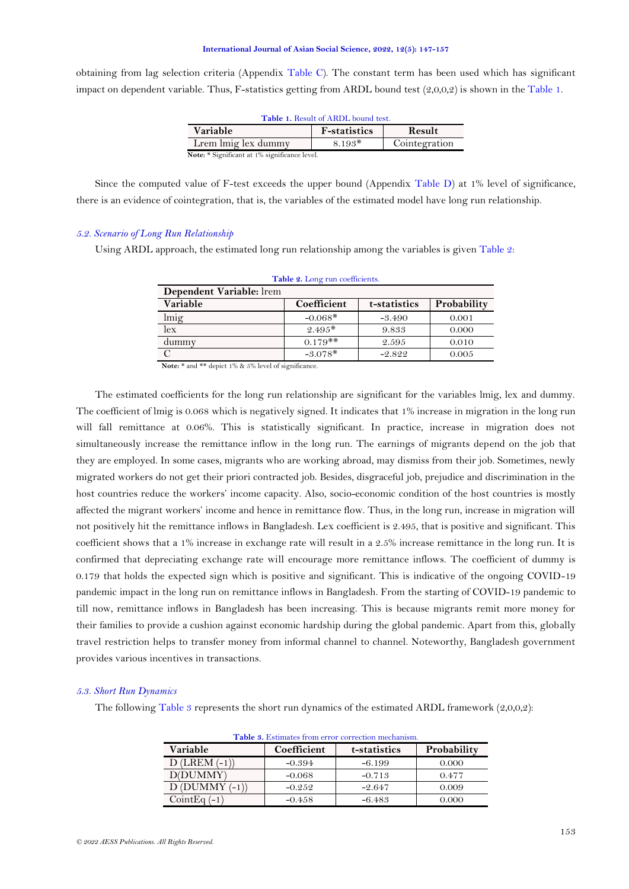<span id="page-6-0"></span>obtaining from lag selection criteria (Appendix [Table C\)](#page-9-13). The constant term has been used which has significant impact on dependent variable. Thus, F-statistics getting from ARDL bound test  $(2,0,0,2)$  is shown in th[e Table 1.](#page-6-0)

| <b>Table 1. Result of ARDL bound test.</b>        |  |  |  |  |  |
|---------------------------------------------------|--|--|--|--|--|
| <b>Variable</b><br><b>F</b> -statistics<br>Result |  |  |  |  |  |
| Lrem lmig lex dummy<br>$8.193*$<br>Cointegration  |  |  |  |  |  |
| Note: * Significant at 1% significance level.     |  |  |  |  |  |

Since the computed value of F-test exceeds the upper bound (Appendix [Table D\)](#page-10-0) at 1% level of significance, there is an evidence of cointegration, that is, the variables of the estimated model have long run relationship.

### *5.2. Scenario of Long Run Relationship*

<span id="page-6-1"></span>Using ARDL approach, the estimated long run relationship among the variables is give[n Table 2:](#page-6-1)

| Table 2. Long run coefficients.                                                                                                                    |  |  |  |  |
|----------------------------------------------------------------------------------------------------------------------------------------------------|--|--|--|--|
| Dependent Variable: Irem                                                                                                                           |  |  |  |  |
| Variable<br>Probability<br>Coefficient<br>t-statistics                                                                                             |  |  |  |  |
| $-0.068*$<br>lmig<br>$-3.490$<br>0.001                                                                                                             |  |  |  |  |
| lex<br>$9.495*$<br>9.833<br>0.000                                                                                                                  |  |  |  |  |
| $0.179**$<br>dummy<br>2.595<br>0.010                                                                                                               |  |  |  |  |
| $-3.078*$<br>0.005<br>$-2.822$<br>$\mathbf{v}$ and $\mathbf{v}$ are the contract of $\mathbf{v}$ and $\mathbf{v}$ are the contract of $\mathbf{v}$ |  |  |  |  |

**Note:** \* and \*\* depict 1% & 5% level of significance.

The estimated coefficients for the long run relationship are significant for the variables lmig, lex and dummy. The coefficient of lmig is 0.068 which is negatively signed. It indicates that 1% increase in migration in the long run will fall remittance at 0.06%. This is statistically significant. In practice, increase in migration does not simultaneously increase the remittance inflow in the long run. The earnings of migrants depend on the job that they are employed. In some cases, migrants who are working abroad, may dismiss from their job. Sometimes, newly migrated workers do not get their priori contracted job. Besides, disgraceful job, prejudice and discrimination in the host countries reduce the workers' income capacity. Also, socio-economic condition of the host countries is mostly affected the migrant workers' income and hence in remittance flow. Thus, in the long run, increase in migration will not positively hit the remittance inflows in Bangladesh. Lex coefficient is 2.495, that is positive and significant. This coefficient shows that a 1% increase in exchange rate will result in a 2.5% increase remittance in the long run. It is confirmed that depreciating exchange rate will encourage more remittance inflows. The coefficient of dummy is 0.179 that holds the expected sign which is positive and significant. This is indicative of the ongoing COVID-19 pandemic impact in the long run on remittance inflows in Bangladesh. From the starting of COVID-19 pandemic to till now, remittance inflows in Bangladesh has been increasing. This is because migrants remit more money for their families to provide a cushion against economic hardship during the global pandemic. Apart from this, globally travel restriction helps to transfer money from informal channel to channel. Noteworthy, Bangladesh government provides various incentives in transactions.

### *5.3. Short Run Dynamics*

<span id="page-6-2"></span>The following [Table 3](#page-6-2) represents the short run dynamics of the estimated ARDL framework  $(2,0,0,2)$ :

| <b>Table 3.</b> Estimates from error correction mechanism. |             |              |             |  |
|------------------------------------------------------------|-------------|--------------|-------------|--|
| <b>Variable</b>                                            | Coefficient | t-statistics | Probability |  |
| $D$ (LREM $(-1)$ )                                         | $-0.394$    | $-6.199$     | 0.000       |  |
| D(DUMMY)                                                   | $-0.068$    | $-0.713$     | 0.477       |  |
| $D$ (DUMMY $(-1)$ )                                        | $-0.252$    | $-2.647$     | 0.009       |  |
| Coint Eq $(-1)$                                            | $-0.458$    | $-6.483$     | 0.000       |  |

**Table 3.** Estimates from error correction mechanism.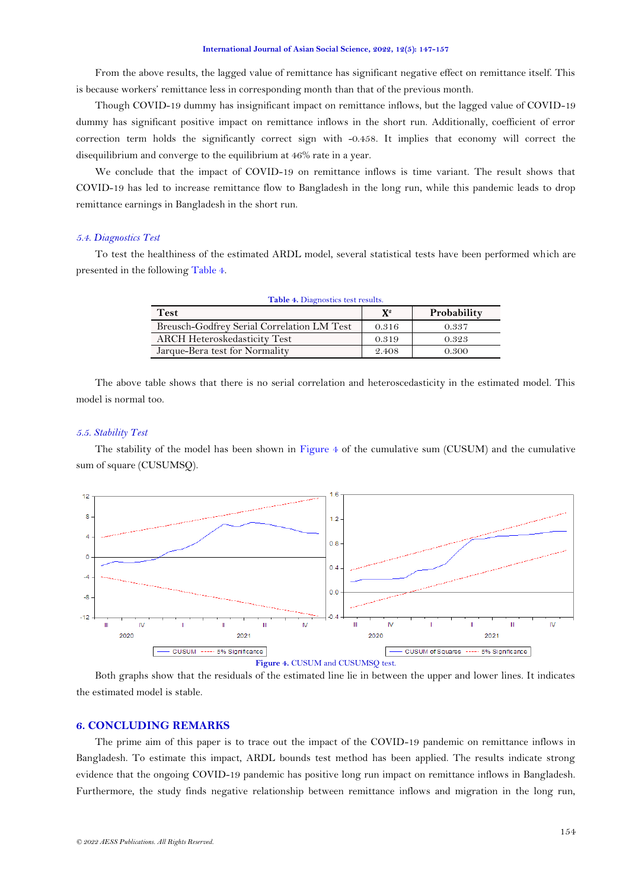From the above results, the lagged value of remittance has significant negative effect on remittance itself. This is because workers' remittance less in corresponding month than that of the previous month.

Though COVID-19 dummy has insignificant impact on remittance inflows, but the lagged value of COVID-19 dummy has significant positive impact on remittance inflows in the short run. Additionally, coefficient of error correction term holds the significantly correct sign with -0.458. It implies that economy will correct the disequilibrium and converge to the equilibrium at 46% rate in a year.

We conclude that the impact of COVID-19 on remittance inflows is time variant. The result shows that COVID-19 has led to increase remittance flow to Bangladesh in the long run, while this pandemic leads to drop remittance earnings in Bangladesh in the short run.

## *5.4. Diagnostics Test*

<span id="page-7-0"></span>To test the healthiness of the estimated ARDL model, several statistical tests have been performed which are presented in the following [Table 4.](#page-7-0)

| Table 4. Diagnostics test results.         |       |             |  |
|--------------------------------------------|-------|-------------|--|
| <b>Test</b>                                | $X^2$ | Probability |  |
| Breusch-Godfrey Serial Correlation LM Test | 0.316 | 0.337       |  |
| <b>ARCH Heteroskedasticity Test</b>        | 0.319 | 0.323       |  |
| Jarque-Bera test for Normality             | 2.408 | 0.300       |  |
|                                            |       |             |  |

The above table shows that there is no serial correlation and heteroscedasticity in the estimated model. This model is normal too.

# *5.5. Stability Test*

The stability of the model has been shown in [Figure](#page-7-1) 4 of the cumulative sum (CUSUM) and the cumulative sum of square (CUSUMSQ).



<span id="page-7-1"></span>Both graphs show that the residuals of the estimated line lie in between the upper and lower lines. It indicates the estimated model is stable.

# **6. CONCLUDING REMARKS**

The prime aim of this paper is to trace out the impact of the COVID-19 pandemic on remittance inflows in Bangladesh. To estimate this impact, ARDL bounds test method has been applied. The results indicate strong evidence that the ongoing COVID-19 pandemic has positive long run impact on remittance inflows in Bangladesh. Furthermore, the study finds negative relationship between remittance inflows and migration in the long run,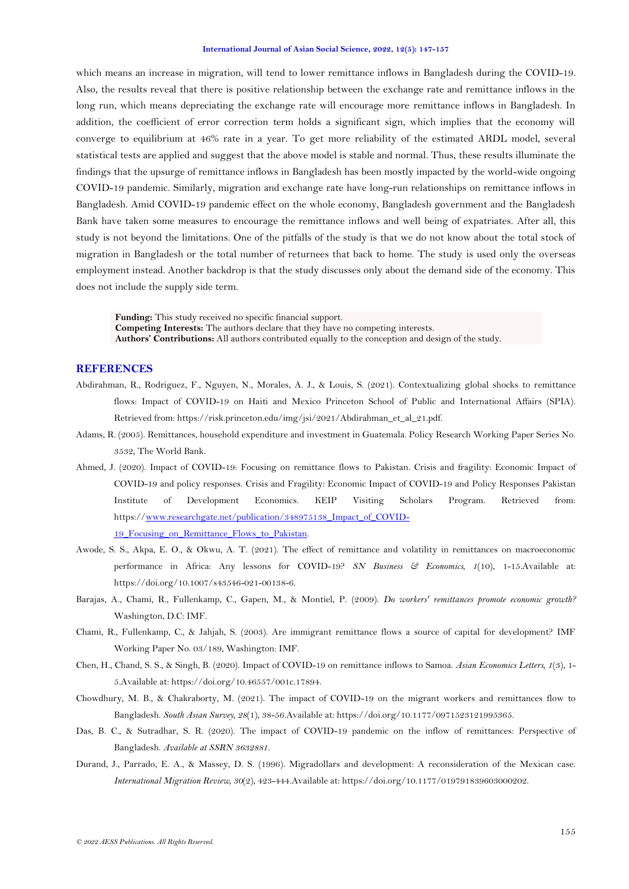which means an increase in migration, will tend to lower remittance inflows in Bangladesh during the COVID-19. Also, the results reveal that there is positive relationship between the exchange rate and remittance inflows in the long run, which means depreciating the exchange rate will encourage more remittance inflows in Bangladesh. In addition, the coefficient of error correction term holds a significant sign, which implies that the economy will converge to equilibrium at 46% rate in a year. To get more reliability of the estimated ARDL model, several statistical tests are applied and suggest that the above model is stable and normal. Thus, these results illuminate the findings that the upsurge of remittance inflows in Bangladesh has been mostly impacted by the world-wide ongoing COVID-19 pandemic. Similarly, migration and exchange rate have long-run relationships on remittance inflows in Bangladesh. Amid COVID-19 pandemic effect on the whole economy, Bangladesh government and the Bangladesh Bank have taken some measures to encourage the remittance inflows and well being of expatriates. After all, this study is not beyond the limitations. One of the pitfalls of the study is that we do not know about the total stock of migration in Bangladesh or the total number of returnees that back to home. The study is used only the overseas employment instead. Another backdrop is that the study discusses only about the demand side of the economy. This does not include the supply side term.

**Funding:** This study received no specific financial support. **Competing Interests:** The authors declare that they have no competing interests.

**Authors' Contributions:** All authors contributed equally to the conception and design of the study.

# **REFERENCES**

- <span id="page-8-5"></span>Abdirahman, R., Rodriguez, F., Nguyen, N., Morales, A. J., & Louis, S. (2021). Contextualizing global shocks to remittance flows: Impact of COVID-19 on Haiti and Mexico Princeton School of Public and International Affairs (SPIA). Retrieved from: https://risk.princeton.edu/img/jsi/2021/Abdirahman\_et\_al\_21.pdf.
- <span id="page-8-2"></span>Adams, R. (2005). Remittances, household expenditure and investment in Guatemala. Policy Research Working Paper Series No. 3532, The World Bank.
- <span id="page-8-7"></span>Ahmed, J. (2020). Impact of COVID-19: Focusing on remittance flows to Pakistan. Crisis and fragility: Economic Impact of COVID-19 and policy responses. Crisis and Fragility: Economic Impact of COVID-19 and Policy Responses Pakistan Institute of Development Economics. KEIP Visiting Scholars Program. Retrieved from: https:/[/www.researchgate.net/publication/348975138\\_Impact\\_of\\_COVID-](http://www.researchgate.net/publication/348975138_Impact_of_COVID-19_Focusing_on_Remittance_Flows_to_Pakistan)19 Focusing on Remittance Flows to Pakistan.
- <span id="page-8-6"></span>Awode, S. S., Akpa, E. O., & Okwu, A. T. (2021). The effect of remittance and volatility in remittances on macroeconomic performance in Africa: Any lessons for COVID-19? *SN Business & Economics, 1*(10), 1-15.Available at: https://doi.org/10.1007/s43546-021-00138-6.
- <span id="page-8-3"></span>Barajas, A., Chami, R., Fullenkamp, C., Gapen, M., & Montiel, P. (2009). *Do workers' remittances promote economic growth?* Washington, D.C: IMF.
- <span id="page-8-1"></span>Chami, R., Fullenkamp, C., & Jahjah, S. (2003). Are immigrant remittance flows a source of capital for development? IMF Working Paper No. 03/189, Washington: IMF.
- <span id="page-8-4"></span>Chen, H., Chand, S. S., & Singh, B. (2020). Impact of COVID-19 on remittance inflows to Samoa. *Asian Economics Letters, 1*(3), 1- 5.Available at: https://doi.org/10.46557/001c.17894.
- <span id="page-8-8"></span>Chowdhury, M. B., & Chakraborty, M. (2021). The impact of COVID-19 on the migrant workers and remittances flow to Bangladesh. *South Asian Survey, 28*(1), 38-56.Available at: https://doi.org/10.1177/0971523121995365.
- <span id="page-8-9"></span>Das, B. C., & Sutradhar, S. R. (2020). The impact of COVID-19 pandemic on the inflow of remittances: Perspective of Bangladesh. *Available at SSRN 3632881*.
- <span id="page-8-0"></span>Durand, J., Parrado, E. A., & Massey, D. S. (1996). Migradollars and development: A reconsideration of the Mexican case. *International Migration Review, 30*(2), 423-444.Available at: https://doi.org/10.1177/019791839603000202.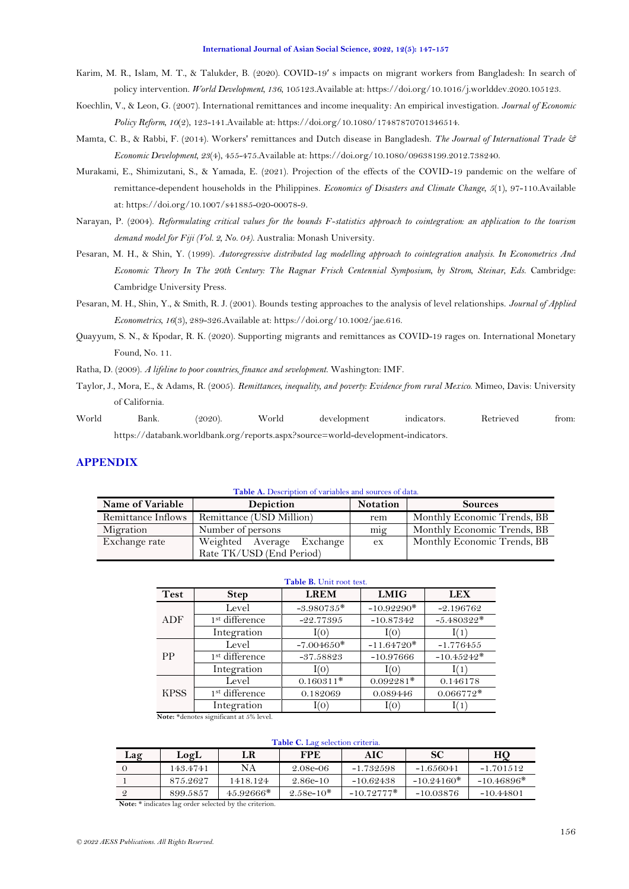- <span id="page-9-6"></span>Karim, M. R., Islam, M. T., & Talukder, B. (2020). COVID-19′ s impacts on migrant workers from Bangladesh: In search of policy intervention. *World Development, 136*, 105123.Available at: https://doi.org/10.1016/j.worlddev.2020.105123.
- <span id="page-9-2"></span>Koechlin, V., & Leon, G. (2007). International remittances and income inequality: An empirical investigation. *Journal of Economic Policy Reform, 10*(2), 123-141.Available at: https://doi.org/10.1080/17487870701346514.
- <span id="page-9-4"></span>Mamta, C. B., & Rabbi, F. (2014). Workers' remittances and Dutch disease in Bangladesh. *The Journal of International Trade & Economic Development, 23*(4), 455-475.Available at: https://doi.org/10.1080/09638199.2012.738240.
- <span id="page-9-5"></span>Murakami, E., Shimizutani, S., & Yamada, E. (2021). Projection of the effects of the COVID-19 pandemic on the welfare of remittance-dependent households in the Philippines. *Economics of Disasters and Climate Change, 5*(1), 97-110.Available at: https://doi.org/10.1007/s41885-020-00078-9.
- <span id="page-9-11"></span>Narayan, P. (2004). *Reformulating critical values for the bounds F-statistics approach to cointegration: an application to the tourism demand model for Fiji (Vol. 2, No. 04)*. Australia: Monash University.
- <span id="page-9-9"></span>Pesaran, M. H., & Shin, Y. (1999). *Autoregressive distributed lag modelling approach to cointegration analysis. In Econometrics And Economic Theory In The 20th Century: The Ragnar Frisch Centennial Symposium, by Strom, Steinar, Eds*. Cambridge: Cambridge University Press.
- <span id="page-9-10"></span>Pesaran, M. H., Shin, Y., & Smith, R. J. (2001). Bounds testing approaches to the analysis of level relationships. *Journal of Applied Econometrics, 16*(3), 289-326.Available at: https://doi.org/10.1002/jae.616.
- <span id="page-9-7"></span>Quayyum, S. N., & Kpodar, R. K. (2020). Supporting migrants and remittances as COVID-19 rages on. International Monetary Found, No. 11.

<span id="page-9-3"></span>Ratha, D. (2009). *A lifeline to poor countries, finance and sevelopment*. Washington: IMF.

- <span id="page-9-1"></span>Taylor, J., Mora, E., & Adams, R. (2005). *Remittances, inequality, and poverty: Evidence from rural Mexico*. Mimeo, Davis: University of California.
- <span id="page-9-0"></span>World Bank. (2020). World development indicators. Retrieved from: https://databank.worldbank.org/reports.aspx?source=world-development-indicators.

# **APPENDIX**

<span id="page-9-8"></span>

| <b>Table A.</b> Description of variables and sources of data. |                           |                 |                             |  |
|---------------------------------------------------------------|---------------------------|-----------------|-----------------------------|--|
| Name of Variable                                              | Depiction                 | <b>Notation</b> | <b>Sources</b>              |  |
| Remittance Inflows                                            | Remittance (USD Million)  | rem             | Monthly Economic Trends, BB |  |
| Migration                                                     | Number of persons         | $m_1g$          | Monthly Economic Trends, BB |  |
| Exchange rate                                                 | Weighted Average Exchange | ex              | Monthly Economic Trends, BB |  |
|                                                               | Rate TK/USD (End Period)  |                 |                             |  |

<span id="page-9-12"></span>

| Table B. Unit root test. |                            |              |              |                 |  |
|--------------------------|----------------------------|--------------|--------------|-----------------|--|
| <b>Test</b>              | <b>Step</b>                | <b>LREM</b>  | <b>LMIG</b>  | <b>LEX</b>      |  |
|                          | Level                      | $-3.980735*$ | $-10.92290*$ | $-2.196762$     |  |
| ADF                      | 1 <sup>st</sup> difference | $-22.77395$  | $-10.87342$  | $-5.480322*$    |  |
|                          | Integration                | I(0)         | I(0)         | (1)             |  |
|                          | Level                      | $-7.004650*$ | $-11.64720*$ | $-1.776455$     |  |
| <b>PP</b>                | 1 <sup>st</sup> difference | $-37.58823$  | $-10.97666$  | $-10.45242*$    |  |
|                          | Integration                | I(0)         | I(0)         | $\mathop{1}(1)$ |  |
|                          | Level                      | $0.160311*$  | $0.092281*$  | 0.146178        |  |
| <b>KPSS</b>              | 1 <sup>st</sup> difference | 0.182069     | 0.089446     | $0.066772*$     |  |
|                          | Integration                | I(0)         | I(O)         | 1(1)            |  |

**Note:** \*denotes significant at 5% level.

### **Table C.** Lag selection criteria.

<span id="page-9-13"></span>

| Lag | LogL     | LR          | FPE         | AIC          | SС           | HО           |
|-----|----------|-------------|-------------|--------------|--------------|--------------|
|     | 143.4741 | NА          | 2.08e-06    | $-1.732598$  | $-1.656041$  | $-1.701512$  |
|     | 875.2627 | 1418.124    | $2.86e-10$  | $-10.62438$  | $-10.24160*$ | $-10.46896*$ |
|     | 899.5857 | $45.92666*$ | $2.58e-10*$ | $-10.72777*$ | $-10.03876$  | $-10.44801$  |

**Note:** \* indicates lag order selected by the criterion.